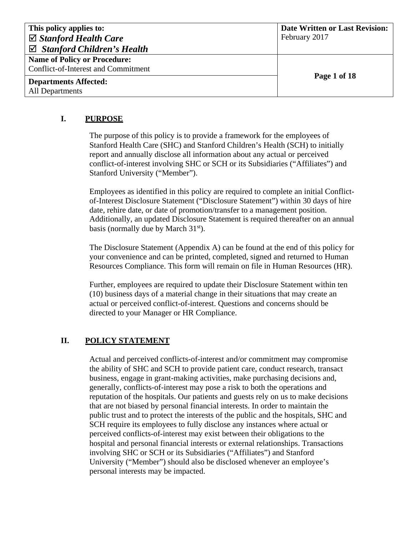| This policy applies to:                | <b>Date Written or Last Revision:</b> |
|----------------------------------------|---------------------------------------|
| $\boxtimes$ Stanford Health Care       | February 2017                         |
| $\boxtimes$ Stanford Children's Health |                                       |
| <b>Name of Policy or Procedure:</b>    |                                       |
| Conflict-of-Interest and Commitment    |                                       |
| <b>Departments Affected:</b>           | Page 1 of 18                          |
| <b>All Departments</b>                 |                                       |

### **I. PURPOSE**

The purpose of this policy is to provide a framework for the employees of Stanford Health Care (SHC) and Stanford Children's Health (SCH) to initially report and annually disclose all information about any actual or perceived conflict-of-interest involving SHC or SCH or its Subsidiaries ("Affiliates") and Stanford University ("Member").

Employees as identified in this policy are required to complete an initial Conflictof-Interest Disclosure Statement ("Disclosure Statement") within 30 days of hire date, rehire date, or date of promotion/transfer to a management position. Additionally, an updated Disclosure Statement is required thereafter on an annual basis (normally due by March 31<sup>st</sup>).

The Disclosure Statement (Appendix A) can be found at the end of this policy for your convenience and can be printed, completed, signed and returned to Human Resources Compliance. This form will remain on file in Human Resources (HR).

Further, employees are required to update their Disclosure Statement within ten (10) business days of a material change in their situations that may create an actual or perceived conflict-of-interest. Questions and concerns should be directed to your Manager or HR Compliance.

# **II. POLICY STATEMENT**

Actual and perceived conflicts-of-interest and/or commitment may compromise the ability of SHC and SCH to provide patient care, conduct research, transact business, engage in grant-making activities, make purchasing decisions and, generally, conflicts-of-interest may pose a risk to both the operations and reputation of the hospitals. Our patients and guests rely on us to make decisions that are not biased by personal financial interests. In order to maintain the public trust and to protect the interests of the public and the hospitals, SHC and SCH require its employees to fully disclose any instances where actual or perceived conflicts-of-interest may exist between their obligations to the hospital and personal financial interests or external relationships. Transactions involving SHC or SCH or its Subsidiaries ("Affiliates") and Stanford University ("Member") should also be disclosed whenever an employee's personal interests may be impacted.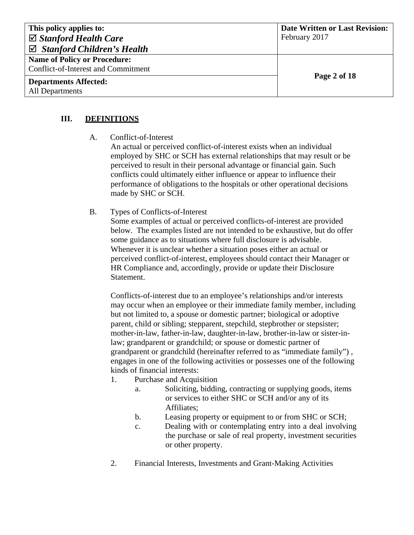| This policy applies to:                | <b>Date Written or Last Revision:</b> |
|----------------------------------------|---------------------------------------|
| $\boxtimes$ Stanford Health Care       | February 2017                         |
| $\boxtimes$ Stanford Children's Health |                                       |
| <b>Name of Policy or Procedure:</b>    |                                       |
| Conflict-of-Interest and Commitment    |                                       |
| <b>Departments Affected:</b>           | Page 2 of 18                          |
| All Departments                        |                                       |

## **III. DEFINITIONS**

A. Conflict-of-Interest

An actual or perceived conflict-of-interest exists when an individual employed by SHC or SCH has external relationships that may result or be perceived to result in their personal advantage or financial gain. Such conflicts could ultimately either influence or appear to influence their performance of obligations to the hospitals or other operational decisions made by SHC or SCH.

### B. Types of Conflicts-of-Interest

Some examples of actual or perceived conflicts-of-interest are provided below. The examples listed are not intended to be exhaustive, but do offer some guidance as to situations where full disclosure is advisable. Whenever it is unclear whether a situation poses either an actual or perceived conflict-of-interest, employees should contact their Manager or HR Compliance and, accordingly, provide or update their Disclosure Statement.

Conflicts-of-interest due to an employee's relationships and/or interests may occur when an employee or their immediate family member, including but not limited to, a spouse or domestic partner; biological or adoptive parent, child or sibling; stepparent, stepchild, stepbrother or stepsister; mother-in-law, father-in-law, daughter-in-law, brother-in-law or sister-inlaw; grandparent or grandchild; or spouse or domestic partner of grandparent or grandchild (hereinafter referred to as "immediate family") , engages in one of the following activities or possesses one of the following kinds of financial interests:

- 1. Purchase and Acquisition
	- a. Soliciting, bidding, contracting or supplying goods, items or services to either SHC or SCH and/or any of its Affiliates;
	- b. Leasing property or equipment to or from SHC or SCH;
	- c. Dealing with or contemplating entry into a deal involving the purchase or sale of real property, investment securities or other property.
- 2. Financial Interests, Investments and Grant-Making Activities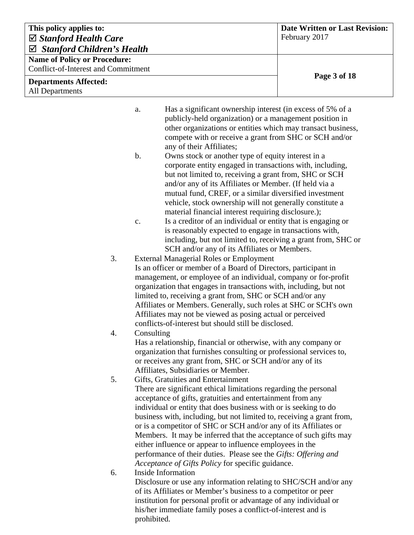| This policy applies to:<br>$\boxtimes$ Stanford Health Care |                                                                                                                               |                                                                                                                               | <b>Date Written or Last Revision:</b><br>February 2017 |
|-------------------------------------------------------------|-------------------------------------------------------------------------------------------------------------------------------|-------------------------------------------------------------------------------------------------------------------------------|--------------------------------------------------------|
| $\boxtimes$ Stanford Children's Health                      |                                                                                                                               |                                                                                                                               |                                                        |
| <b>Name of Policy or Procedure:</b>                         |                                                                                                                               |                                                                                                                               |                                                        |
| <b>Conflict-of-Interest and Commitment</b>                  |                                                                                                                               |                                                                                                                               |                                                        |
| <b>Departments Affected:</b>                                |                                                                                                                               |                                                                                                                               | Page 3 of 18                                           |
| All Departments                                             |                                                                                                                               |                                                                                                                               |                                                        |
|                                                             |                                                                                                                               |                                                                                                                               |                                                        |
|                                                             | a.                                                                                                                            | Has a significant ownership interest (in excess of 5% of a                                                                    |                                                        |
|                                                             |                                                                                                                               | publicly-held organization) or a management position in                                                                       |                                                        |
|                                                             |                                                                                                                               | other organizations or entities which may transact business,                                                                  |                                                        |
|                                                             |                                                                                                                               | compete with or receive a grant from SHC or SCH and/or                                                                        |                                                        |
|                                                             | $\mathbf b$ .                                                                                                                 | any of their Affiliates;<br>Owns stock or another type of equity interest in a                                                |                                                        |
|                                                             |                                                                                                                               | corporate entity engaged in transactions with, including,                                                                     |                                                        |
|                                                             |                                                                                                                               | but not limited to, receiving a grant from, SHC or SCH                                                                        |                                                        |
|                                                             |                                                                                                                               | and/or any of its Affiliates or Member. (If held via a                                                                        |                                                        |
|                                                             |                                                                                                                               | mutual fund, CREF, or a similar diversified investment                                                                        |                                                        |
|                                                             |                                                                                                                               | vehicle, stock ownership will not generally constitute a                                                                      |                                                        |
|                                                             |                                                                                                                               | material financial interest requiring disclosure.);                                                                           |                                                        |
|                                                             | $C_{\bullet}$                                                                                                                 | Is a creditor of an individual or entity that is engaging or<br>is reasonably expected to engage in transactions with,        |                                                        |
|                                                             |                                                                                                                               | including, but not limited to, receiving a grant from, SHC or                                                                 |                                                        |
|                                                             |                                                                                                                               | SCH and/or any of its Affiliates or Members.                                                                                  |                                                        |
| 3.                                                          |                                                                                                                               | <b>External Managerial Roles or Employment</b>                                                                                |                                                        |
|                                                             |                                                                                                                               | Is an officer or member of a Board of Directors, participant in                                                               |                                                        |
|                                                             |                                                                                                                               | management, or employee of an individual, company or for-profit                                                               |                                                        |
|                                                             | organization that engages in transactions with, including, but not                                                            |                                                                                                                               |                                                        |
|                                                             | limited to, receiving a grant from, SHC or SCH and/or any<br>Affiliates or Members. Generally, such roles at SHC or SCH's own |                                                                                                                               |                                                        |
|                                                             |                                                                                                                               | Affiliates may not be viewed as posing actual or perceived                                                                    |                                                        |
|                                                             |                                                                                                                               | conflicts-of-interest but should still be disclosed.                                                                          |                                                        |
| 4.                                                          | Consulting                                                                                                                    |                                                                                                                               |                                                        |
|                                                             |                                                                                                                               | Has a relationship, financial or otherwise, with any company or                                                               |                                                        |
|                                                             |                                                                                                                               | organization that furnishes consulting or professional services to,                                                           |                                                        |
|                                                             |                                                                                                                               | or receives any grant from, SHC or SCH and/or any of its<br>Affiliates, Subsidiaries or Member.                               |                                                        |
| 5.                                                          |                                                                                                                               | Gifts, Gratuities and Entertainment                                                                                           |                                                        |
|                                                             |                                                                                                                               | There are significant ethical limitations regarding the personal                                                              |                                                        |
|                                                             |                                                                                                                               | acceptance of gifts, gratuities and entertainment from any                                                                    |                                                        |
|                                                             |                                                                                                                               | individual or entity that does business with or is seeking to do                                                              |                                                        |
|                                                             |                                                                                                                               | business with, including, but not limited to, receiving a grant from,                                                         |                                                        |
|                                                             |                                                                                                                               | or is a competitor of SHC or SCH and/or any of its Affiliates or                                                              |                                                        |
|                                                             |                                                                                                                               | Members. It may be inferred that the acceptance of such gifts may<br>either influence or appear to influence employees in the |                                                        |
|                                                             |                                                                                                                               | performance of their duties. Please see the Gifts: Offering and                                                               |                                                        |
|                                                             |                                                                                                                               | Acceptance of Gifts Policy for specific guidance.                                                                             |                                                        |
| 6.                                                          |                                                                                                                               | <b>Inside Information</b>                                                                                                     |                                                        |
|                                                             |                                                                                                                               | Disclosure or use any information relating to SHC/SCH and/or any                                                              |                                                        |
|                                                             |                                                                                                                               | of its Affiliates or Member's business to a competitor or peer                                                                |                                                        |
|                                                             |                                                                                                                               | institution for personal profit or advantage of any individual or                                                             |                                                        |
|                                                             | prohibited.                                                                                                                   | his/her immediate family poses a conflict-of-interest and is                                                                  |                                                        |
|                                                             |                                                                                                                               |                                                                                                                               |                                                        |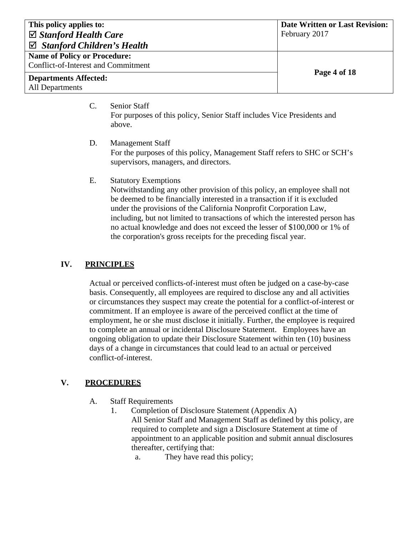| This policy applies to:<br>$\boxtimes$ Stanford Health Care<br>$\boxtimes$ Stanford Children's Health | <b>Date Written or Last Revision:</b><br>February 2017 |
|-------------------------------------------------------------------------------------------------------|--------------------------------------------------------|
| <b>Name of Policy or Procedure:</b><br>Conflict-of-Interest and Commitment                            | Page 4 of 18                                           |
| <b>Departments Affected:</b><br>All Departments                                                       |                                                        |

C. Senior Staff For purposes of this policy, Senior Staff includes Vice Presidents and above.

D. Management Staff For the purposes of this policy, Management Staff refers to SHC or SCH's supervisors, managers, and directors.

### E. Statutory Exemptions

Notwithstanding any other provision of this policy, an employee shall not be deemed to be financially interested in a transaction if it is excluded under the provisions of the California Nonprofit Corporation Law, including, but not limited to transactions of which the interested person has no actual knowledge and does not exceed the lesser of \$100,000 or 1% of the corporation's gross receipts for the preceding fiscal year.

### **IV. PRINCIPLES**

Actual or perceived conflicts-of-interest must often be judged on a case-by-case basis. Consequently, all employees are required to disclose any and all activities or circumstances they suspect may create the potential for a conflict-of-interest or commitment. If an employee is aware of the perceived conflict at the time of employment, he or she must disclose it initially. Further, the employee is required to complete an annual or incidental Disclosure Statement. Employees have an ongoing obligation to update their Disclosure Statement within ten (10) business days of a change in circumstances that could lead to an actual or perceived conflict-of-interest.

### **V. PROCEDURES**

- A. Staff Requirements
	- 1. Completion of Disclosure Statement (Appendix A)

All Senior Staff and Management Staff as defined by this policy, are required to complete and sign a Disclosure Statement at time of appointment to an applicable position and submit annual disclosures thereafter, certifying that:

a. They have read this policy;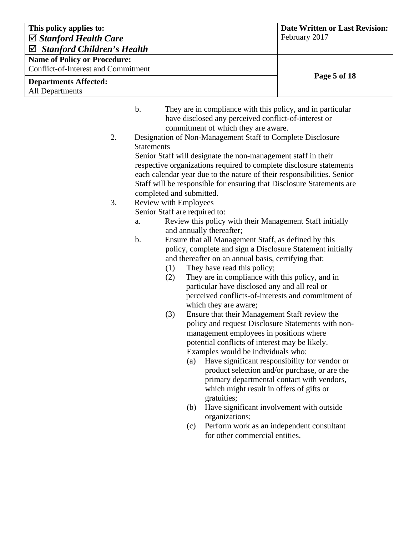| This policy applies to:                |                                                                                                                                 |                                                                                                                                                                                                                                                                                                                                                                                                                                                                                                                                                                                                                                                                                                                                                                                                                                                                                                                                                                                                                                                                                                                                                                                                                                                                                                                                                                                                                                                                                                                                                                  | <b>Date Written or Last Revision:</b>                                                          |
|----------------------------------------|---------------------------------------------------------------------------------------------------------------------------------|------------------------------------------------------------------------------------------------------------------------------------------------------------------------------------------------------------------------------------------------------------------------------------------------------------------------------------------------------------------------------------------------------------------------------------------------------------------------------------------------------------------------------------------------------------------------------------------------------------------------------------------------------------------------------------------------------------------------------------------------------------------------------------------------------------------------------------------------------------------------------------------------------------------------------------------------------------------------------------------------------------------------------------------------------------------------------------------------------------------------------------------------------------------------------------------------------------------------------------------------------------------------------------------------------------------------------------------------------------------------------------------------------------------------------------------------------------------------------------------------------------------------------------------------------------------|------------------------------------------------------------------------------------------------|
| $\boxtimes$ Stanford Health Care       |                                                                                                                                 |                                                                                                                                                                                                                                                                                                                                                                                                                                                                                                                                                                                                                                                                                                                                                                                                                                                                                                                                                                                                                                                                                                                                                                                                                                                                                                                                                                                                                                                                                                                                                                  | February 2017                                                                                  |
| <b>Stanford Children's Health</b><br>☑ |                                                                                                                                 |                                                                                                                                                                                                                                                                                                                                                                                                                                                                                                                                                                                                                                                                                                                                                                                                                                                                                                                                                                                                                                                                                                                                                                                                                                                                                                                                                                                                                                                                                                                                                                  |                                                                                                |
| <b>Name of Policy or Procedure:</b>    |                                                                                                                                 |                                                                                                                                                                                                                                                                                                                                                                                                                                                                                                                                                                                                                                                                                                                                                                                                                                                                                                                                                                                                                                                                                                                                                                                                                                                                                                                                                                                                                                                                                                                                                                  |                                                                                                |
| Conflict-of-Interest and Commitment    |                                                                                                                                 |                                                                                                                                                                                                                                                                                                                                                                                                                                                                                                                                                                                                                                                                                                                                                                                                                                                                                                                                                                                                                                                                                                                                                                                                                                                                                                                                                                                                                                                                                                                                                                  | Page 5 of 18                                                                                   |
| <b>Departments Affected:</b>           |                                                                                                                                 |                                                                                                                                                                                                                                                                                                                                                                                                                                                                                                                                                                                                                                                                                                                                                                                                                                                                                                                                                                                                                                                                                                                                                                                                                                                                                                                                                                                                                                                                                                                                                                  |                                                                                                |
| All Departments                        |                                                                                                                                 |                                                                                                                                                                                                                                                                                                                                                                                                                                                                                                                                                                                                                                                                                                                                                                                                                                                                                                                                                                                                                                                                                                                                                                                                                                                                                                                                                                                                                                                                                                                                                                  |                                                                                                |
| 2.<br>3.                               | $\mathbf b$ .<br><b>Statements</b><br>completed and submitted.<br><b>Review with Employees</b><br>a.<br>b.<br>(1)<br>(2)<br>(3) | They are in compliance with this policy, and in particular<br>have disclosed any perceived conflict-of-interest or<br>commitment of which they are aware.<br>Designation of Non-Management Staff to Complete Disclosure<br>Senior Staff will designate the non-management staff in their<br>respective organizations required to complete disclosure statements<br>each calendar year due to the nature of their responsibilities. Senior<br>Staff will be responsible for ensuring that Disclosure Statements are<br>Senior Staff are required to:<br>Review this policy with their Management Staff initially<br>and annually thereafter;<br>Ensure that all Management Staff, as defined by this<br>policy, complete and sign a Disclosure Statement initially<br>and thereafter on an annual basis, certifying that:<br>They have read this policy;<br>They are in compliance with this policy, and in<br>particular have disclosed any and all real or<br>perceived conflicts-of-interests and commitment of<br>which they are aware;<br>Ensure that their Management Staff review the<br>policy and request Disclosure Statements with non-<br>management employees in positions where<br>potential conflicts of interest may be likely.<br>Examples would be individuals who:<br>(a)<br>primary departmental contact with vendors,<br>which might result in offers of gifts or<br>gratuities;<br>Have significant involvement with outside<br>(b)<br>organizations;<br>Perform work as an independent consultant<br>(c)<br>for other commercial entities. | Have significant responsibility for vendor or<br>product selection and/or purchase, or are the |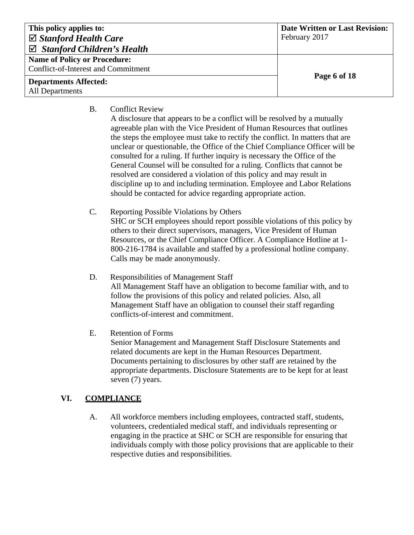| This policy applies to:                    | <b>Date Written or Last Revision:</b> |
|--------------------------------------------|---------------------------------------|
| $\boxtimes$ Stanford Health Care           | February 2017                         |
| $\boxtimes$ Stanford Children's Health     |                                       |
| <b>Name of Policy or Procedure:</b>        |                                       |
| <b>Conflict-of-Interest and Commitment</b> |                                       |
| <b>Departments Affected:</b>               | Page 6 of 18                          |
| All Departments                            |                                       |

- B. Conflict Review
	- A disclosure that appears to be a conflict will be resolved by a mutually agreeable plan with the Vice President of Human Resources that outlines the steps the employee must take to rectify the conflict. In matters that are unclear or questionable, the Office of the Chief Compliance Officer will be consulted for a ruling. If further inquiry is necessary the Office of the General Counsel will be consulted for a ruling. Conflicts that cannot be resolved are considered a violation of this policy and may result in discipline up to and including termination. Employee and Labor Relations should be contacted for advice regarding appropriate action.
- C. Reporting Possible Violations by Others SHC or SCH employees should report possible violations of this policy by others to their direct supervisors, managers, Vice President of Human Resources, or the Chief Compliance Officer. A Compliance Hotline at 1- 800-216-1784 is available and staffed by a professional hotline company. Calls may be made anonymously.
- D. Responsibilities of Management Staff All Management Staff have an obligation to become familiar with, and to follow the provisions of this policy and related policies. Also, all Management Staff have an obligation to counsel their staff regarding conflicts-of-interest and commitment.
- E. Retention of Forms Senior Management and Management Staff Disclosure Statements and related documents are kept in the Human Resources Department. Documents pertaining to disclosures by other staff are retained by the appropriate departments. Disclosure Statements are to be kept for at least seven (7) years.

# **VI. COMPLIANCE**

A. All workforce members including employees, contracted staff, students, volunteers, credentialed medical staff, and individuals representing or engaging in the practice at SHC or SCH are responsible for ensuring that individuals comply with those policy provisions that are applicable to their respective duties and responsibilities.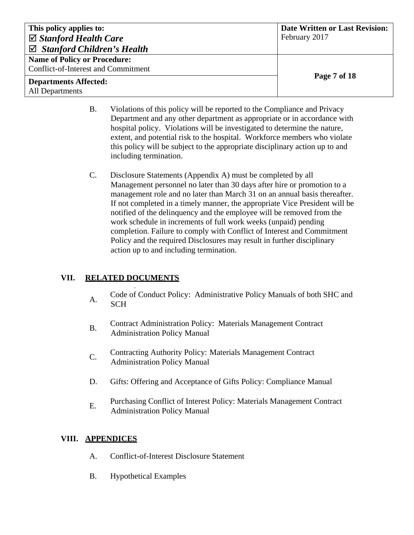| This policy applies to:                | <b>Date Written or Last Revision:</b> |
|----------------------------------------|---------------------------------------|
| $\boxtimes$ Stanford Health Care       | February 2017                         |
| $\boxtimes$ Stanford Children's Health |                                       |
| <b>Name of Policy or Procedure:</b>    |                                       |
| Conflict-of-Interest and Commitment    |                                       |
| <b>Departments Affected:</b>           | Page 7 of 18                          |
| All Departments                        |                                       |

- B. Violations of this policy will be reported to the Compliance and Privacy Department and any other department as appropriate or in accordance with hospital policy. Violations will be investigated to determine the nature, extent, and potential risk to the hospital. Workforce members who violate this policy will be subject to the appropriate disciplinary action up to and including termination.
- C. Disclosure Statements (Appendix A) must be completed by all Management personnel no later than 30 days after hire or promotion to a management role and no later than March 31 on an annual basis thereafter. If not completed in a timely manner, the appropriate Vice President will be notified of the delinquency and the employee will be removed from the work schedule in increments of full work weeks (unpaid) pending completion. Failure to comply with Conflict of Interest and Commitment Policy and the required Disclosures may result in further disciplinary action up to and including termination.

# **VII. RELATED DOCUMENTS**

.

- A. Code of Conduct Policy: Administrative Policy Manuals of both SHC and **SCH**
- B. Contract Administration Policy: Materials Management Contract Administration Policy Manual
- C. Contracting Authority Policy: Materials Management Contract Administration Policy Manual
- D. Gifts: Offering and Acceptance of Gifts Policy: Compliance Manual
- E. Purchasing Conflict of Interest Policy: Materials Management Contract Administration Policy Manual

### **VIII. APPENDICES**

- A. Conflict-of-Interest Disclosure Statement
- B. Hypothetical Examples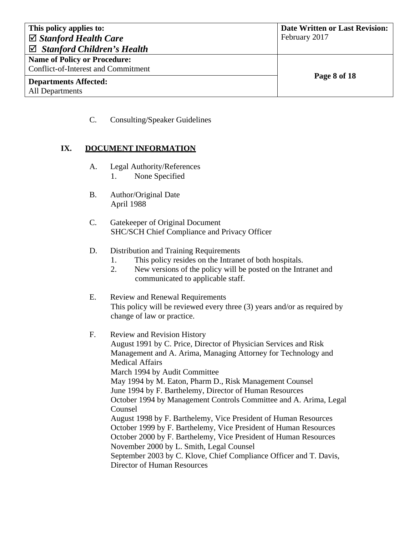| This policy applies to:                         | <b>Date Written or Last Revision:</b> |
|-------------------------------------------------|---------------------------------------|
| $\boxtimes$ Stanford Health Care                | February 2017                         |
| $\boxtimes$ Stanford Children's Health          |                                       |
| <b>Name of Policy or Procedure:</b>             |                                       |
| Conflict-of-Interest and Commitment             |                                       |
| <b>Departments Affected:</b><br>All Departments | Page 8 of 18                          |

C. Consulting/Speaker Guidelines

### **IX. DOCUMENT INFORMATION**

- A. Legal Authority/References 1. None Specified
- B. Author/Original Date April 1988
- C. Gatekeeper of Original Document SHC/SCH Chief Compliance and Privacy Officer
- D. Distribution and Training Requirements
	- 1. This policy resides on the Intranet of both hospitals.
	- 2. New versions of the policy will be posted on the Intranet and communicated to applicable staff.
- E. Review and Renewal Requirements This policy will be reviewed every three (3) years and/or as required by change of law or practice.
- F. Review and Revision History August 1991 by C. Price, Director of Physician Services and Risk Management and A. Arima, Managing Attorney for Technology and Medical Affairs March 1994 by Audit Committee May 1994 by M. Eaton, Pharm D., Risk Management Counsel June 1994 by F. Barthelemy, Director of Human Resources October 1994 by Management Controls Committee and A. Arima, Legal Counsel August 1998 by F. Barthelemy, Vice President of Human Resources October 1999 by F. Barthelemy, Vice President of Human Resources October 2000 by F. Barthelemy, Vice President of Human Resources November 2000 by L. Smith, Legal Counsel September 2003 by C. Klove, Chief Compliance Officer and T. Davis, Director of Human Resources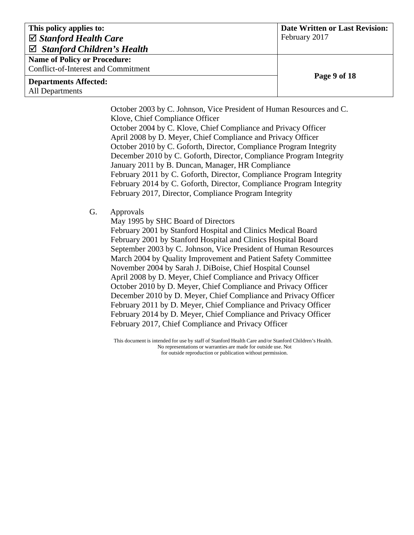| This policy applies to:                | <b>Date Written or Last Revision:</b> |
|----------------------------------------|---------------------------------------|
| $\boxtimes$ Stanford Health Care       | February 2017                         |
| $\boxtimes$ Stanford Children's Health |                                       |
| <b>Name of Policy or Procedure:</b>    |                                       |
| Conflict-of-Interest and Commitment    |                                       |
| <b>Departments Affected:</b>           | Page 9 of 18                          |
| All Departments                        |                                       |

October 2003 by C. Johnson, Vice President of Human Resources and C. Klove, Chief Compliance Officer October 2004 by C. Klove, Chief Compliance and Privacy Officer April 2008 by D. Meyer, Chief Compliance and Privacy Officer October 2010 by C. Goforth, Director, Compliance Program Integrity December 2010 by C. Goforth, Director, Compliance Program Integrity January 2011 by B. Duncan, Manager, HR Compliance February 2011 by C. Goforth, Director, Compliance Program Integrity February 2014 by C. Goforth, Director, Compliance Program Integrity February 2017, Director, Compliance Program Integrity

#### G. Approvals

May 1995 by SHC Board of Directors

February 2001 by Stanford Hospital and Clinics Medical Board February 2001 by Stanford Hospital and Clinics Hospital Board September 2003 by C. Johnson, Vice President of Human Resources March 2004 by Quality Improvement and Patient Safety Committee November 2004 by Sarah J. DiBoise, Chief Hospital Counsel April 2008 by D. Meyer, Chief Compliance and Privacy Officer October 2010 by D. Meyer, Chief Compliance and Privacy Officer December 2010 by D. Meyer, Chief Compliance and Privacy Officer February 2011 by D. Meyer, Chief Compliance and Privacy Officer February 2014 by D. Meyer, Chief Compliance and Privacy Officer February 2017, Chief Compliance and Privacy Officer

This document is intended for use by staff of Stanford Health Care and/or Stanford Children's Health. No representations or warranties are made for outside use. Not for outside reproduction or publication without permission.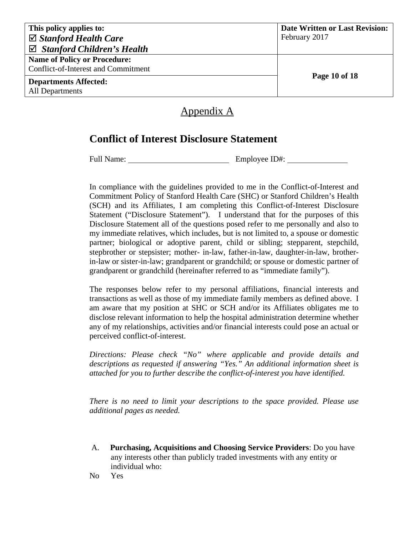| This policy applies to:<br>$\boxtimes$ Stanford Health Care<br>$\boxtimes$ Stanford Children's Health | <b>Date Written or Last Revision:</b><br>February 2017 |
|-------------------------------------------------------------------------------------------------------|--------------------------------------------------------|
| <b>Name of Policy or Procedure:</b><br>Conflict-of-Interest and Commitment                            | Page 10 of 18                                          |
| <b>Departments Affected:</b><br><b>All Departments</b>                                                |                                                        |

# Appendix A

# **Conflict of Interest Disclosure Statement**

Full Name: Employee ID#:

In compliance with the guidelines provided to me in the Conflict-of-Interest and Commitment Policy of Stanford Health Care (SHC) or Stanford Children's Health (SCH) and its Affiliates, I am completing this Conflict-of-Interest Disclosure Statement ("Disclosure Statement"). I understand that for the purposes of this Disclosure Statement all of the questions posed refer to me personally and also to my immediate relatives, which includes, but is not limited to, a spouse or domestic partner; biological or adoptive parent, child or sibling; stepparent, stepchild, stepbrother or stepsister; mother- in-law, father-in-law, daughter-in-law, brotherin-law or sister-in-law; grandparent or grandchild; or spouse or domestic partner of grandparent or grandchild (hereinafter referred to as "immediate family").

The responses below refer to my personal affiliations, financial interests and transactions as well as those of my immediate family members as defined above. I am aware that my position at SHC or SCH and/or its Affiliates obligates me to disclose relevant information to help the hospital administration determine whether any of my relationships, activities and/or financial interests could pose an actual or perceived conflict-of-interest.

*Directions: Please check "No" where applicable and provide details and descriptions as requested if answering "Yes." An additional information sheet is attached for you to further describe the conflict-of-interest you have identified.*

*There is no need to limit your descriptions to the space provided. Please use additional pages as needed.*

- A. **Purchasing, Acquisitions and Choosing Service Providers**: Do you have any interests other than publicly traded investments with any entity or individual who:
- No Yes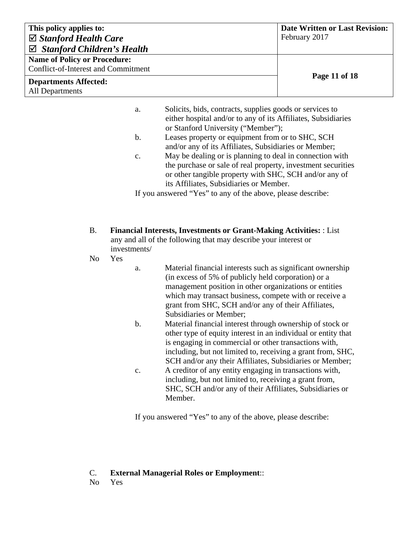| This policy applies to:                | <b>Date Written or Last Revision:</b> |
|----------------------------------------|---------------------------------------|
| $\boxtimes$ Stanford Health Care       | February 2017                         |
| $\boxtimes$ Stanford Children's Health |                                       |
| <b>Name of Policy or Procedure:</b>    |                                       |
| Conflict-of-Interest and Commitment    |                                       |
| <b>Departments Affected:</b>           | Page 11 of 18                         |
| <b>All Departments</b>                 |                                       |

- a. Solicits, bids, contracts, supplies goods or services to either hospital and/or to any of its Affiliates, Subsidiaries or Stanford University ("Member");
- b. Leases property or equipment from or to SHC, SCH and/or any of its Affiliates, Subsidiaries or Member;
- c. May be dealing or is planning to deal in connection with the purchase or sale of real property, investment securities or other tangible property with SHC, SCH and/or any of its Affiliates, Subsidiaries or Member.

If you answered "Yes" to any of the above, please describe:

- B. **Financial Interests, Investments or Grant-Making Activities:** : List any and all of the following that may describe your interest or investments/
- No Yes

a. Material financial interests such as significant ownership (in excess of 5% of publicly held corporation) or a management position in other organizations or entities which may transact business, compete with or receive a grant from SHC, SCH and/or any of their Affiliates, Subsidiaries or Member;

- b. Material financial interest through ownership of stock or other type of equity interest in an individual or entity that is engaging in commercial or other transactions with, including, but not limited to, receiving a grant from, SHC, SCH and/or any their Affiliates, Subsidiaries or Member;
- c. A creditor of any entity engaging in transactions with, including, but not limited to, receiving a grant from, SHC, SCH and/or any of their Affiliates, Subsidiaries or Member.

If you answered "Yes" to any of the above, please describe:

#### C. **External Managerial Roles or Employment**::

No Yes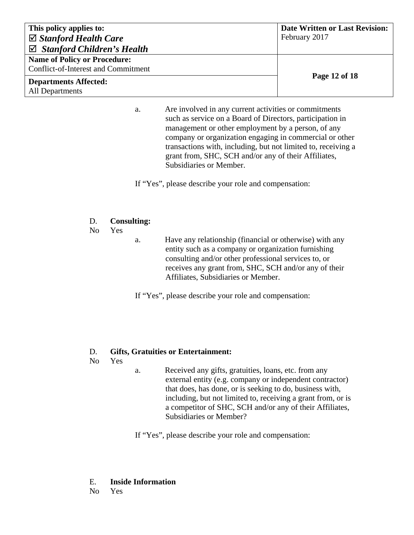| This policy applies to:                | <b>Date Written or Last Revision:</b> |
|----------------------------------------|---------------------------------------|
| $\boxtimes$ Stanford Health Care       | February 2017                         |
| $\boxtimes$ Stanford Children's Health |                                       |
| <b>Name of Policy or Procedure:</b>    |                                       |
| Conflict-of-Interest and Commitment    |                                       |
| <b>Departments Affected:</b>           | Page 12 of 18                         |
| <b>All Departments</b>                 |                                       |

a. Are involved in any current activities or commitments such as service on a Board of Directors, participation in management or other employment by a person, of any company or organization engaging in commercial or other transactions with, including, but not limited to, receiving a grant from, SHC, SCH and/or any of their Affiliates, Subsidiaries or Member.

If "Yes", please describe your role and compensation:

### D. **Consulting:**

No Yes

a. Have any relationship (financial or otherwise) with any entity such as a company or organization furnishing consulting and/or other professional services to, or receives any grant from, SHC, SCH and/or any of their Affiliates, Subsidiaries or Member.

If "Yes", please describe your role and compensation:

### D. **Gifts, Gratuities or Entertainment:**

No Yes

a. Received any gifts, gratuities, loans, etc. from any external entity (e.g. company or independent contractor) that does, has done, or is seeking to do, business with, including, but not limited to, receiving a grant from, or is a competitor of SHC, SCH and/or any of their Affiliates, Subsidiaries or Member?

If "Yes", please describe your role and compensation:

#### E. **Inside Information**

No Yes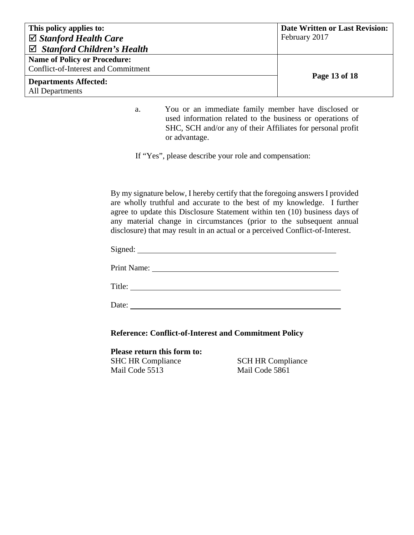| This policy applies to:                    | <b>Date Written or Last Revision:</b> |
|--------------------------------------------|---------------------------------------|
| $\boxtimes$ Stanford Health Care           | February 2017                         |
| $\boxtimes$ Stanford Children's Health     |                                       |
| <b>Name of Policy or Procedure:</b>        |                                       |
| <b>Conflict-of-Interest and Commitment</b> |                                       |
| <b>Departments Affected:</b>               | Page 13 of 18                         |
| <b>All Departments</b>                     |                                       |

a. You or an immediate family member have disclosed or used information related to the business or operations of SHC, SCH and/or any of their Affiliates for personal profit or advantage.

If "Yes", please describe your role and compensation:

By my signature below, I hereby certify that the foregoing answers I provided are wholly truthful and accurate to the best of my knowledge. I further agree to update this Disclosure Statement within ten (10) business days of any material change in circumstances (prior to the subsequent annual disclosure) that may result in an actual or a perceived Conflict-of-Interest.

Signed:

Print Name:

Title:

Date:

**Reference: Conflict-of-Interest and Commitment Policy**

**Please return this form to:** SHC HR Compliance Mail Code 5513

SCH HR Compliance Mail Code 5861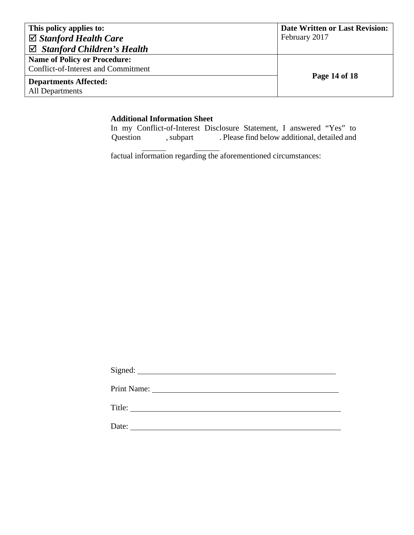| This policy applies to:                    | <b>Date Written or Last Revision:</b> |
|--------------------------------------------|---------------------------------------|
| $\boxtimes$ Stanford Health Care           | February 2017                         |
| $\boxtimes$ Stanford Children's Health     |                                       |
| <b>Name of Policy or Procedure:</b>        |                                       |
| <b>Conflict-of-Interest and Commitment</b> |                                       |
| <b>Departments Affected:</b>               | Page 14 of 18                         |
| All Departments                            |                                       |

#### **Additional Information Sheet**

In my Conflict-of-Interest Disclosure Statement, I answered "Yes" to Question , subpart . Please find below additional, detailed and , subpart . Please find below additional, detailed and

factual information regarding the aforementioned circumstances:

| <b>Print Name:</b> |
|--------------------|
| Title:             |
| Date:              |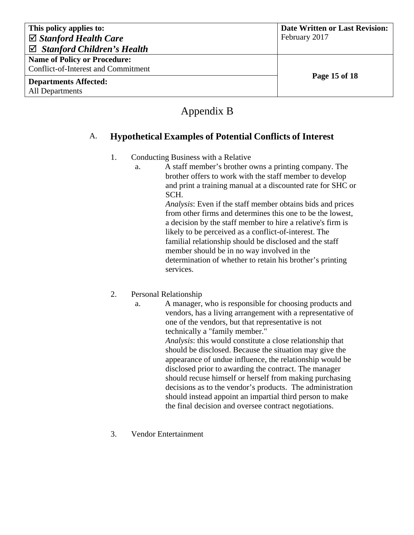| This policy applies to:                | <b>Date Written or Last Revision:</b> |
|----------------------------------------|---------------------------------------|
| $\boxtimes$ Stanford Health Care       | February 2017                         |
| $\boxtimes$ Stanford Children's Health |                                       |
| <b>Name of Policy or Procedure:</b>    |                                       |
| Conflict-of-Interest and Commitment    |                                       |
| <b>Departments Affected:</b>           | Page 15 of 18                         |
| All Departments                        |                                       |

# Appendix B

# A. **Hypothetical Examples of Potential Conflicts of Interest**

### 1. Conducting Business with a Relative

a. A staff member's brother owns a printing company. The brother offers to work with the staff member to develop and print a training manual at a discounted rate for SHC or SCH.

*Analysis*: Even if the staff member obtains bids and prices from other firms and determines this one to be the lowest, a decision by the staff member to hire a relative's firm is likely to be perceived as a conflict-of-interest. The familial relationship should be disclosed and the staff member should be in no way involved in the determination of whether to retain his brother's printing services.

# 2. Personal Relationship

- a. A manager, who is responsible for choosing products and vendors, has a living arrangement with a representative of one of the vendors, but that representative is not technically a "family member." *Analysis*: this would constitute a close relationship that should be disclosed. Because the situation may give the appearance of undue influence, the relationship would be disclosed prior to awarding the contract. The manager should recuse himself or herself from making purchasing decisions as to the vendor's products. The administration should instead appoint an impartial third person to make the final decision and oversee contract negotiations.
- 3. Vendor Entertainment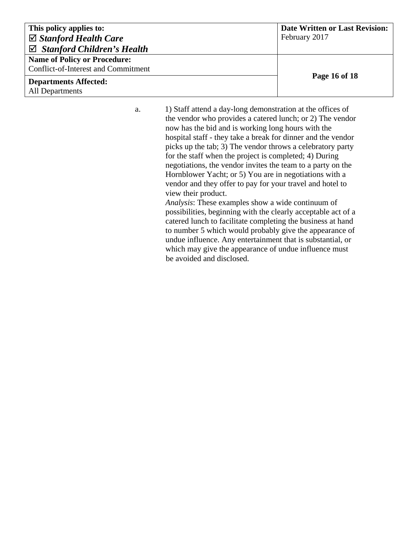| This policy applies to:                    | <b>Date Written or Last Revision:</b> |
|--------------------------------------------|---------------------------------------|
| $\boxtimes$ Stanford Health Care           | February 2017                         |
| $\boxtimes$ Stanford Children's Health     |                                       |
| <b>Name of Policy or Procedure:</b>        |                                       |
| <b>Conflict-of-Interest and Commitment</b> |                                       |
| <b>Departments Affected:</b>               | Page 16 of 18                         |
| All Departments                            |                                       |

a. 1) Staff attend a day-long demonstration at the offices of the vendor who provides a catered lunch; or 2) The vendor now has the bid and is working long hours with the hospital staff - they take a break for dinner and the vendor picks up the tab; 3) The vendor throws a celebratory party for the staff when the project is completed; 4) During negotiations, the vendor invites the team to a party on the Hornblower Yacht; or 5) You are in negotiations with a vendor and they offer to pay for your travel and hotel to view their product.

*Analysis*: These examples show a wide continuum of possibilities, beginning with the clearly acceptable act of a catered lunch to facilitate completing the business at hand to number 5 which would probably give the appearance of undue influence. Any entertainment that is substantial, or which may give the appearance of undue influence must be avoided and disclosed.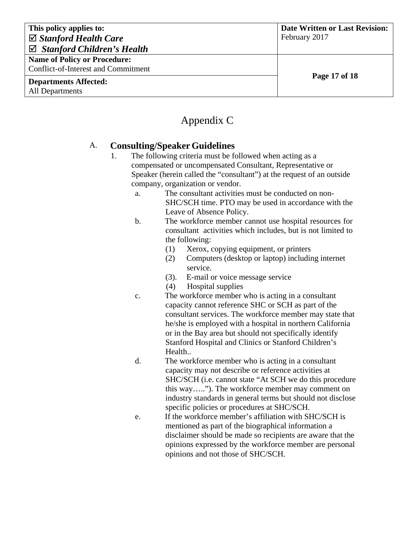| This policy applies to:                | <b>Date Written or Last Revision:</b> |
|----------------------------------------|---------------------------------------|
| $\boxtimes$ Stanford Health Care       | February 2017                         |
| $\boxtimes$ Stanford Children's Health |                                       |
| <b>Name of Policy or Procedure:</b>    |                                       |
| Conflict-of-Interest and Commitment    |                                       |
| <b>Departments Affected:</b>           | Page 17 of 18                         |
| <b>All Departments</b>                 |                                       |

# Appendix C

# A. **Consulting/Speaker Guidelines**

- 1. The following criteria must be followed when acting as a compensated or uncompensated Consultant, Representative or Speaker (herein called the "consultant") at the request of an outside company, organization or vendor.
	- a. The consultant activities must be conducted on non-SHC/SCH time. PTO may be used in accordance with the Leave of Absence Policy.
	- b. The workforce member cannot use hospital resources for consultant activities which includes, but is not limited to the following:
		- (1) Xerox, copying equipment, or printers
		- (2) Computers (desktop or laptop) including internet service.
		- (3). E-mail or voice message service
		- (4) Hospital supplies
	- c. The workforce member who is acting in a consultant capacity cannot reference SHC or SCH as part of the consultant services. The workforce member may state that he/she is employed with a hospital in northern California or in the Bay area but should not specifically identify Stanford Hospital and Clinics or Stanford Children's Health..
	- d. The workforce member who is acting in a consultant capacity may not describe or reference activities at SHC/SCH (i.e. cannot state "At SCH we do this procedure this way….."). The workforce member may comment on industry standards in general terms but should not disclose specific policies or procedures at SHC/SCH.
	- e. If the workforce member's affiliation with SHC/SCH is mentioned as part of the biographical information a disclaimer should be made so recipients are aware that the opinions expressed by the workforce member are personal opinions and not those of SHC/SCH.